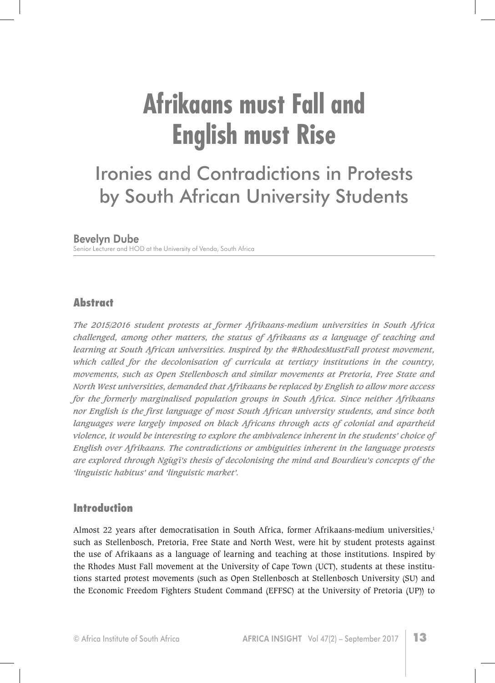# **Afrikaans must Fall and English must Rise**

# Ironies and Contradictions in Protests by South African University Students

#### Bevelyn Dube

Senior Lecturer and HOD at the University of Venda, South Africa

# **Abstract**

*The 2015/2016 student protests at former Afrikaans-medium universities in South Africa challenged, among other matters, the status of Afrikaans as a language of teaching and learning at South African universities. Inspired by the #RhodesMustFall protest movement, which called for the decolonisation of curricula at tertiary institutions in the country, movements, such as Open Stellenbosch and similar movements at Pretoria, Free State and North West universities, demanded that Afrikaans be replaced by English to allow more access for the formerly marginalised population groups in South Africa. Since neither Afrikaans nor English is the first language of most South African university students, and since both languages were largely imposed on black Africans through acts of colonial and apartheid violence, it would be interesting to explore the ambivalence inherent in the students' choice of English over Afrikaans. The contradictions or ambiguities inherent in the language protests are explored through Ng˜ug˜ı's thesis of decolonising the mind and Bourdieu's concepts of the 'linguistic habitus' and 'linguistic market'.* 

# **Introduction**

Almost 22 years after democratisation in South Africa, former Afrikaans-medium universities,<sup>1</sup> such as Stellenbosch, Pretoria, Free State and North West, were hit by student protests against the use of Afrikaans as a language of learning and teaching at those institutions. Inspired by the Rhodes Must Fall movement at the University of Cape Town (UCT), students at these institutions started protest movements (such as Open Stellenbosch at Stellenbosch University (SU) and the Economic Freedom Fighters Student Command (EFFSC) at the University of Pretoria (UP)) to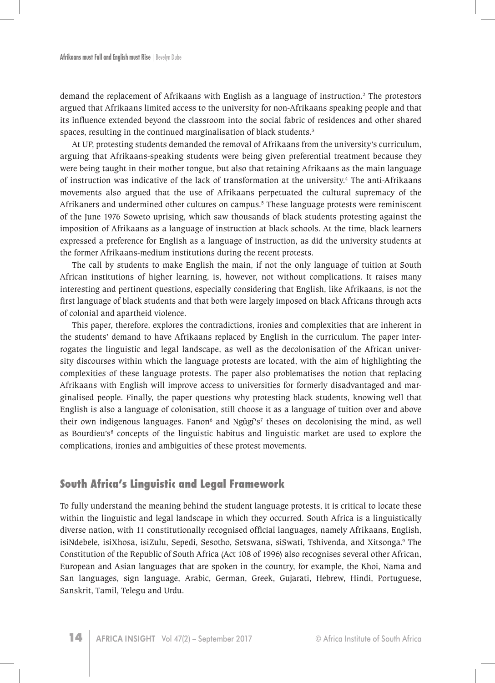demand the replacement of Afrikaans with English as a language of instruction.2 The protestors argued that Afrikaans limited access to the university for non-Afrikaans speaking people and that its influence extended beyond the classroom into the social fabric of residences and other shared spaces, resulting in the continued marginalisation of black students.<sup>3</sup>

At UP, protesting students demanded the removal of Afrikaans from the university's curriculum, arguing that Afrikaans-speaking students were being given preferential treatment because they were being taught in their mother tongue, but also that retaining Afrikaans as the main language of instruction was indicative of the lack of transformation at the university.<sup>4</sup> The anti-Afrikaans movements also argued that the use of Afrikaans perpetuated the cultural supremacy of the Afrikaners and undermined other cultures on campus.<sup>5</sup> These language protests were reminiscent of the June 1976 Soweto uprising, which saw thousands of black students protesting against the imposition of Afrikaans as a language of instruction at black schools. At the time, black learners expressed a preference for English as a language of instruction, as did the university students at the former Afrikaans-medium institutions during the recent protests.

The call by students to make English the main, if not the only language of tuition at South African institutions of higher learning, is, however, not without complications. It raises many interesting and pertinent questions, especially considering that English, like Afrikaans, is not the first language of black students and that both were largely imposed on black Africans through acts of colonial and apartheid violence.

This paper, therefore, explores the contradictions, ironies and complexities that are inherent in the students' demand to have Afrikaans replaced by English in the curriculum. The paper interrogates the linguistic and legal landscape, as well as the decolonisation of the African university discourses within which the language protests are located, with the aim of highlighting the complexities of these language protests. The paper also problematises the notion that replacing Afrikaans with English will improve access to universities for formerly disadvantaged and marginalised people. Finally, the paper questions why protesting black students, knowing well that English is also a language of colonisation, still choose it as a language of tuition over and above their own indigenous languages. Fanon<sup>6</sup> and Ngũgī's<sup>7</sup> theses on decolonising the mind, as well as Bourdieu's<sup>8</sup> concepts of the linguistic habitus and linguistic market are used to explore the complications, ironies and ambiguities of these protest movements.

#### **South Africa's Linguistic and Legal Framework**

To fully understand the meaning behind the student language protests, it is critical to locate these within the linguistic and legal landscape in which they occurred. South Africa is a linguistically diverse nation, with 11 constitutionally recognised official languages, namely Afrikaans, English, isiNdebele, isiXhosa, isiZulu, Sepedi, Sesotho, Setswana, siSwati, Tshivenda, and Xitsonga.<sup>9</sup> The Constitution of the Republic of South Africa (Act 108 of 1996) also recognises several other African, European and Asian languages that are spoken in the country, for example, the Khoi, Nama and San languages, sign language, Arabic, German, Greek, Gujarati, Hebrew, Hindi, Portuguese, Sanskrit, Tamil, Telegu and Urdu.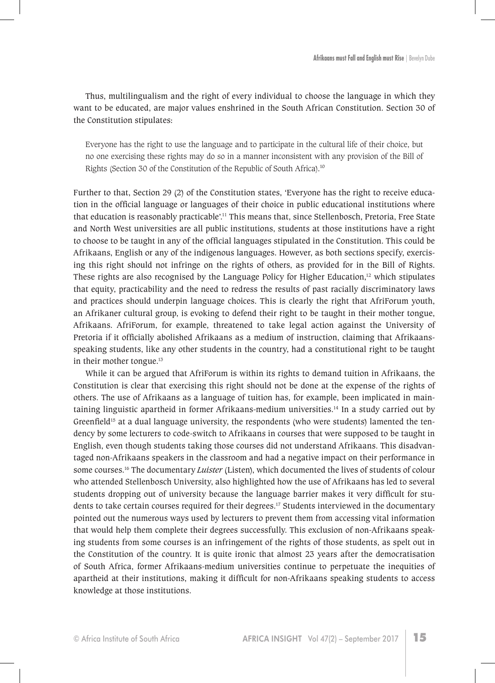Thus, multilingualism and the right of every individual to choose the language in which they want to be educated, are major values enshrined in the South African Constitution. Section 30 of the Constitution stipulates:

Everyone has the right to use the language and to participate in the cultural life of their choice, but no one exercising these rights may do so in a manner inconsistent with any provision of the Bill of Rights (Section 30 of the Constitution of the Republic of South Africa).<sup>10</sup>

Further to that, Section 29 (2) of the Constitution states, 'Everyone has the right to receive education in the official language or languages of their choice in public educational institutions where that education is reasonably practicable'.11 This means that, since Stellenbosch, Pretoria, Free State and North West universities are all public institutions, students at those institutions have a right to choose to be taught in any of the official languages stipulated in the Constitution. This could be Afrikaans, English or any of the indigenous languages. However, as both sections specify, exercising this right should not infringe on the rights of others, as provided for in the Bill of Rights. These rights are also recognised by the Language Policy for Higher Education, $12$  which stipulates that equity, practicability and the need to redress the results of past racially discriminatory laws and practices should underpin language choices. This is clearly the right that AfriForum youth, an Afrikaner cultural group, is evoking to defend their right to be taught in their mother tongue, Afrikaans. AfriForum, for example, threatened to take legal action against the University of Pretoria if it officially abolished Afrikaans as a medium of instruction, claiming that Afrikaansspeaking students, like any other students in the country, had a constitutional right to be taught in their mother tongue.<sup>13</sup>

While it can be argued that AfriForum is within its rights to demand tuition in Afrikaans, the Constitution is clear that exercising this right should not be done at the expense of the rights of others. The use of Afrikaans as a language of tuition has, for example, been implicated in maintaining linguistic apartheid in former Afrikaans-medium universities.<sup>14</sup> In a study carried out by Greenfield<sup>15</sup> at a dual language university, the respondents (who were students) lamented the tendency by some lecturers to code-switch to Afrikaans in courses that were supposed to be taught in English, even though students taking those courses did not understand Afrikaans. This disadvantaged non-Afrikaans speakers in the classroom and had a negative impact on their performance in some courses.<sup>16</sup> The documentary *Luister* (Listen), which documented the lives of students of colour who attended Stellenbosch University, also highlighted how the use of Afrikaans has led to several students dropping out of university because the language barrier makes it very difficult for students to take certain courses required for their degrees.<sup>17</sup> Students interviewed in the documentary pointed out the numerous ways used by lecturers to prevent them from accessing vital information that would help them complete their degrees successfully. This exclusion of non-Afrikaans speaking students from some courses is an infringement of the rights of those students, as spelt out in the Constitution of the country. It is quite ironic that almost 23 years after the democratisation of South Africa, former Afrikaans-medium universities continue to perpetuate the inequities of apartheid at their institutions, making it difficult for non-Afrikaans speaking students to access knowledge at those institutions.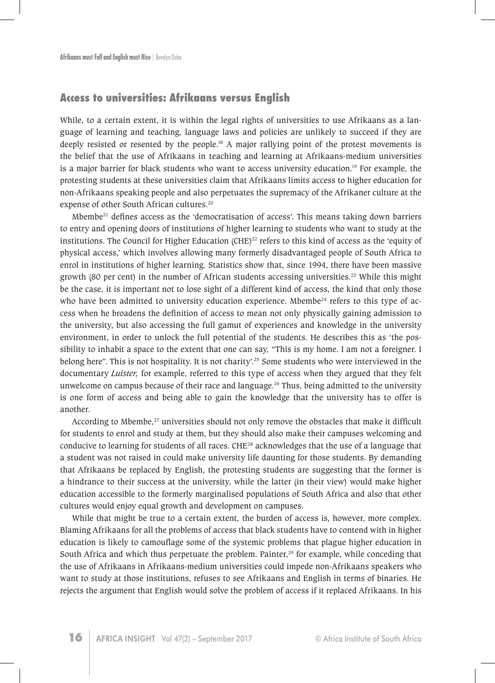# **Access to universities: Afrikaans versus English**

While, to a certain extent, it is within the legal rights of universities to use Afrikaans as a language of learning and teaching, language laws and policies are unlikely to succeed if they are deeply resisted or resented by the people.18 A major rallying point of the protest movements is the belief that the use of Afrikaans in teaching and learning at Afrikaans-medium universities is a major barrier for black students who want to access university education.<sup>19</sup> For example, the protesting students at these universities claim that Afrikaans limits access to higher education for non-Afrikaans speaking people and also perpetuates the supremacy of the Afrikaner culture at the expense of other South African cultures.20

Mbembe<sup>21</sup> defines access as the 'democratisation of access'. This means taking down barriers to entry and opening doors of institutions of higher learning to students who want to study at the institutions. The Council for Higher Education (CHE) $^{22}$  refers to this kind of access as the 'equity of physical access,' which involves allowing many formerly disadvantaged people of South Africa to enrol in institutions of higher learning. Statistics show that, since 1994, there have been massive growth (80 per cent) in the number of African students accessing universities.<sup>23</sup> While this might be the case, it is important not to lose sight of a different kind of access, the kind that only those who have been admitted to university education experience. Mbembe<sup>24</sup> refers to this type of access when he broadens the definition of access to mean not only physically gaining admission to the university, but also accessing the full gamut of experiences and knowledge in the university environment, in order to unlock the full potential of the students. He describes this as 'the possibility to inhabit a space to the extent that one can say, "This is my home. I am not a foreigner. I belong here". This is not hospitality. It is not charity'.<sup>25</sup> Some students who were interviewed in the documentary *Luister,* for example, referred to this type of access when they argued that they felt unwelcome on campus because of their race and language.<sup>26</sup> Thus, being admitted to the university is one form of access and being able to gain the knowledge that the university has to offer is another.

According to Mbembe,<sup>27</sup> universities should not only remove the obstacles that make it difficult for students to enrol and study at them, but they should also make their campuses welcoming and conducive to learning for students of all races. CHE<sup>28</sup> acknowledges that the use of a language that a student was not raised in could make university life daunting for those students. By demanding that Afrikaans be replaced by English, the protesting students are suggesting that the former is a hindrance to their success at the university, while the latter (in their view) would make higher education accessible to the formerly marginalised populations of South Africa and also that other cultures would enjoy equal growth and development on campuses.

While that might be true to a certain extent, the burden of access is, however, more complex. Blaming Afrikaans for all the problems of access that black students have to contend with in higher education is likely to camouflage some of the systemic problems that plague higher education in South Africa and which thus perpetuate the problem. Painter, $29$  for example, while conceding that the use of Afrikaans in Afrikaans-medium universities could impede non-Afrikaans speakers who want to study at those institutions, refuses to see Afrikaans and English in terms of binaries. He rejects the argument that English would solve the problem of access if it replaced Afrikaans. In his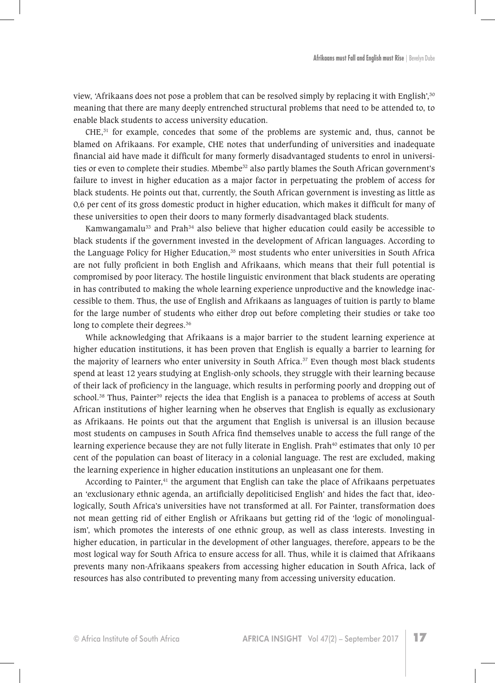view, 'Afrikaans does not pose a problem that can be resolved simply by replacing it with English',<sup>30</sup> meaning that there are many deeply entrenched structural problems that need to be attended to, to enable black students to access university education.

 $CHE<sub>31</sub>$  for example, concedes that some of the problems are systemic and, thus, cannot be blamed on Afrikaans. For example, CHE notes that underfunding of universities and inadequate financial aid have made it difficult for many formerly disadvantaged students to enrol in universities or even to complete their studies. Mbembe<sup>32</sup> also partly blames the South African government's failure to invest in higher education as a major factor in perpetuating the problem of access for black students. He points out that, currently, the South African government is investing as little as 0,6 per cent of its gross domestic product in higher education, which makes it difficult for many of these universities to open their doors to many formerly disadvantaged black students.

Kamwangamalu $33$  and Prah $34$  also believe that higher education could easily be accessible to black students if the government invested in the development of African languages. According to the Language Policy for Higher Education,<sup>35</sup> most students who enter universities in South Africa are not fully proficient in both English and Afrikaans, which means that their full potential is compromised by poor literacy. The hostile linguistic environment that black students are operating in has contributed to making the whole learning experience unproductive and the knowledge inaccessible to them. Thus, the use of English and Afrikaans as languages of tuition is partly to blame for the large number of students who either drop out before completing their studies or take too long to complete their degrees.<sup>36</sup>

While acknowledging that Afrikaans is a major barrier to the student learning experience at higher education institutions, it has been proven that English is equally a barrier to learning for the majority of learners who enter university in South Africa.<sup>37</sup> Even though most black students spend at least 12 years studying at English-only schools, they struggle with their learning because of their lack of proficiency in the language, which results in performing poorly and dropping out of school.<sup>38</sup> Thus, Painter<sup>39</sup> rejects the idea that English is a panacea to problems of access at South African institutions of higher learning when he observes that English is equally as exclusionary as Afrikaans. He points out that the argument that English is universal is an illusion because most students on campuses in South Africa find themselves unable to access the full range of the learning experience because they are not fully literate in English. Prah<sup>40</sup> estimates that only 10 per cent of the population can boast of literacy in a colonial language. The rest are excluded, making the learning experience in higher education institutions an unpleasant one for them.

According to Painter,<sup>41</sup> the argument that English can take the place of Afrikaans perpetuates an 'exclusionary ethnic agenda, an artificially depoliticised English' and hides the fact that, ideologically, South Africa's universities have not transformed at all. For Painter, transformation does not mean getting rid of either English or Afrikaans but getting rid of the 'logic of monolingualism', which promotes the interests of one ethnic group, as well as class interests. Investing in higher education, in particular in the development of other languages, therefore, appears to be the most logical way for South Africa to ensure access for all. Thus, while it is claimed that Afrikaans prevents many non-Afrikaans speakers from accessing higher education in South Africa, lack of resources has also contributed to preventing many from accessing university education.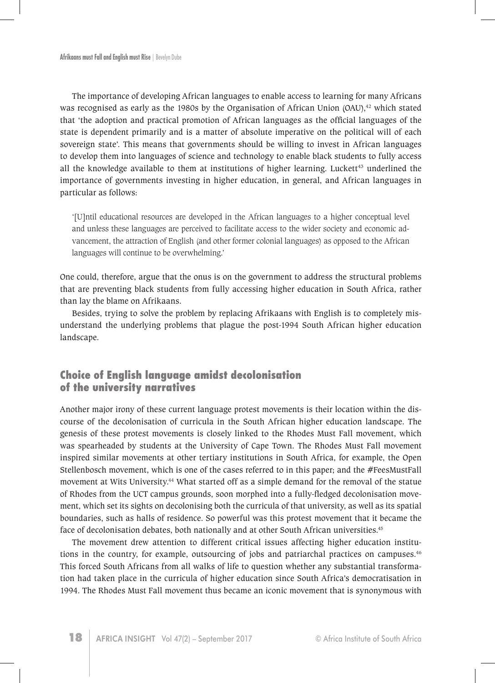The importance of developing African languages to enable access to learning for many Africans was recognised as early as the 1980s by the Organisation of African Union (OAU),<sup>42</sup> which stated that 'the adoption and practical promotion of African languages as the official languages of the state is dependent primarily and is a matter of absolute imperative on the political will of each sovereign state'. This means that governments should be willing to invest in African languages to develop them into languages of science and technology to enable black students to fully access all the knowledge available to them at institutions of higher learning. Luckett $43$  underlined the importance of governments investing in higher education, in general, and African languages in particular as follows:

'[U]ntil educational resources are developed in the African languages to a higher conceptual level and unless these languages are perceived to facilitate access to the wider society and economic advancement, the attraction of English (and other former colonial languages) as opposed to the African languages will continue to be overwhelming.'

One could, therefore, argue that the onus is on the government to address the structural problems that are preventing black students from fully accessing higher education in South Africa, rather than lay the blame on Afrikaans.

Besides, trying to solve the problem by replacing Afrikaans with English is to completely misunderstand the underlying problems that plague the post-1994 South African higher education landscape.

# **Choice of English language amidst decolonisation of the university narratives**

Another major irony of these current language protest movements is their location within the discourse of the decolonisation of curricula in the South African higher education landscape. The genesis of these protest movements is closely linked to the Rhodes Must Fall movement, which was spearheaded by students at the University of Cape Town. The Rhodes Must Fall movement inspired similar movements at other tertiary institutions in South Africa, for example, the Open Stellenbosch movement, which is one of the cases referred to in this paper; and the #FeesMustFall movement at Wits University.<sup>44</sup> What started off as a simple demand for the removal of the statue of Rhodes from the UCT campus grounds, soon morphed into a fully-fledged decolonisation movement, which set its sights on decolonising both the curricula of that university, as well as its spatial boundaries, such as halls of residence. So powerful was this protest movement that it became the face of decolonisation debates, both nationally and at other South African universities.<sup>45</sup>

The movement drew attention to different critical issues affecting higher education institutions in the country, for example, outsourcing of jobs and patriarchal practices on campuses.<sup>46</sup> This forced South Africans from all walks of life to question whether any substantial transformation had taken place in the curricula of higher education since South Africa's democratisation in 1994. The Rhodes Must Fall movement thus became an iconic movement that is synonymous with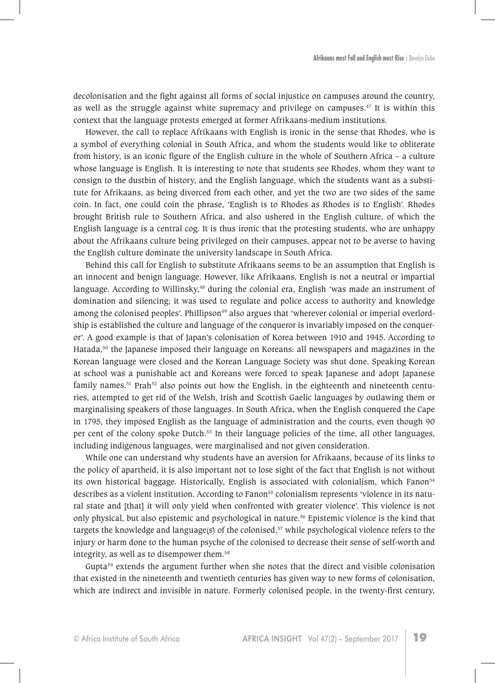decolonisation and the fight against all forms of social injustice on campuses around the country, as well as the struggle against white supremacy and privilege on campuses.<sup>47</sup> It is within this context that the language protests emerged at former Afrikaans-medium institutions.

However, the call to replace Afrikaans with English is ironic in the sense that Rhodes, who is a symbol of everything colonial in South Africa, and whom the students would like to obliterate from history, is an iconic figure of the English culture in the whole of Southern Africa – a culture whose language is English. It is interesting to note that students see Rhodes, whom they want to consign to the dustbin of history, and the English language, which the students want as a substitute for Afrikaans, as being divorced from each other, and yet the two are two sides of the same coin. In fact, one could coin the phrase, 'English is to Rhodes as Rhodes is to English'. Rhodes brought British rule to Southern Africa, and also ushered in the English culture, of which the English language is a central cog. It is thus ironic that the protesting students, who are unhappy about the Afrikaans culture being privileged on their campuses, appear not to be averse to having the English culture dominate the university landscape in South Africa.

Behind this call for English to substitute Afrikaans seems to be an assumption that English is an innocent and benign language. However, like Afrikaans, English is not a neutral or impartial language. According to Willinsky,<sup>48</sup> during the colonial era, English 'was made an instrument of domination and silencing; it was used to regulate and police access to authority and knowledge among the colonised peoples'. Phillipson<sup>49</sup> also argues that 'wherever colonial or imperial overlordship is established the culture and language of the conqueror is invariably imposed on the conqueror'. A good example is that of Japan's colonisation of Korea between 1910 and 1945. According to Hatada,<sup>50</sup> the Japanese imposed their language on Koreans: all newspapers and magazines in the Korean language were closed and the Korean Language Society was shut done. Speaking Korean at school was a punishable act and Koreans were forced to speak Japanese and adopt Japanese family names.<sup>51</sup> Prah<sup>52</sup> also points out how the English, in the eighteenth and nineteenth centuries, attempted to get rid of the Welsh, Irish and Scottish Gaelic languages by outlawing them or marginalising speakers of those languages. In South Africa, when the English conquered the Cape in 1795, they imposed English as the language of administration and the courts, even though 90 per cent of the colony spoke Dutch.<sup>53</sup> In their language policies of the time, all other languages, including indigenous languages, were marginalised and not given consideration.

While one can understand why students have an aversion for Afrikaans, because of its links to the policy of apartheid, it is also important not to lose sight of the fact that English is not without its own historical baggage. Historically, English is associated with colonialism, which Fanon<sup>54</sup> describes as a violent institution. According to Fanon<sup>55</sup> colonialism represents 'violence in its natural state and [that] it will only yield when confronted with greater violence'. This violence is not only physical, but also epistemic and psychological in nature.<sup>56</sup> Epistemic violence is the kind that targets the knowledge and language(s) of the colonised,<sup>57</sup> while psychological violence refers to the injury or harm done to the human psyche of the colonised to decrease their sense of self-worth and integrity, as well as to disempower them.<sup>58</sup>

Gupta $59$  extends the argument further when she notes that the direct and visible colonisation that existed in the nineteenth and twentieth centuries has given way to new forms of colonisation, which are indirect and invisible in nature. Formerly colonised people, in the twenty-first century,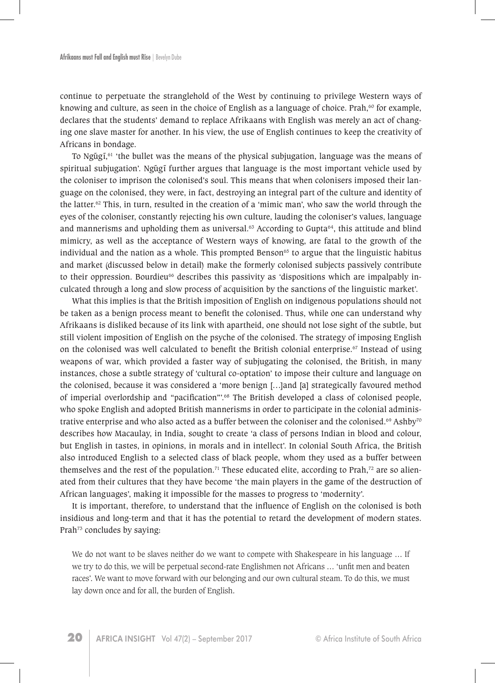continue to perpetuate the stranglehold of the West by continuing to privilege Western ways of knowing and culture, as seen in the choice of English as a language of choice. Prah, $60$  for example, declares that the students' demand to replace Afrikaans with English was merely an act of changing one slave master for another. In his view, the use of English continues to keep the creativity of Africans in bondage.

To Ngũgĩ, $61$  'the bullet was the means of the physical subjugation, language was the means of spiritual subjugation'. Ngũgĩ further argues that language is the most important vehicle used by the coloniser to imprison the colonised's soul. This means that when colonisers imposed their language on the colonised, they were, in fact, destroying an integral part of the culture and identity of the latter.<sup>62</sup> This, in turn, resulted in the creation of a 'mimic man', who saw the world through the eyes of the coloniser, constantly rejecting his own culture, lauding the coloniser's values, language and mannerisms and upholding them as universal. $63$  According to Gupta $64$ , this attitude and blind mimicry, as well as the acceptance of Western ways of knowing, are fatal to the growth of the individual and the nation as a whole. This prompted Benson<sup> $65$ </sup> to argue that the linguistic habitus and market (discussed below in detail) make the formerly colonised subjects passively contribute to their oppression. Bourdieu<sup>66</sup> describes this passivity as 'dispositions which are impalpably inculcated through a long and slow process of acquisition by the sanctions of the linguistic market'.

What this implies is that the British imposition of English on indigenous populations should not be taken as a benign process meant to benefit the colonised. Thus, while one can understand why Afrikaans is disliked because of its link with apartheid, one should not lose sight of the subtle, but still violent imposition of English on the psyche of the colonised. The strategy of imposing English on the colonised was well calculated to benefit the British colonial enterprise.<sup>67</sup> Instead of using weapons of war, which provided a faster way of subjugating the colonised, the British, in many instances, chose a subtle strategy of 'cultural co-optation' to impose their culture and language on the colonised, because it was considered a 'more benign […]and [a] strategically favoured method of imperial overlordship and "pacification"'.<sup>68</sup> The British developed a class of colonised people, who spoke English and adopted British mannerisms in order to participate in the colonial administrative enterprise and who also acted as a buffer between the coloniser and the colonised.<sup>69</sup> Ashby<sup>70</sup> describes how Macaulay, in India, sought to create 'a class of persons Indian in blood and colour, but English in tastes, in opinions, in morals and in intellect'. In colonial South Africa, the British also introduced English to a selected class of black people, whom they used as a buffer between themselves and the rest of the population.<sup>71</sup> These educated elite, according to Prah,<sup>72</sup> are so alienated from their cultures that they have become 'the main players in the game of the destruction of African languages', making it impossible for the masses to progress to 'modernity'.

It is important, therefore, to understand that the influence of English on the colonised is both insidious and long-term and that it has the potential to retard the development of modern states. Prah<sup>73</sup> concludes by saying:

We do not want to be slaves neither do we want to compete with Shakespeare in his language ... If we try to do this, we will be perpetual second-rate Englishmen not Africans … 'unfit men and beaten races'. We want to move forward with our belonging and our own cultural steam. To do this, we must lay down once and for all, the burden of English.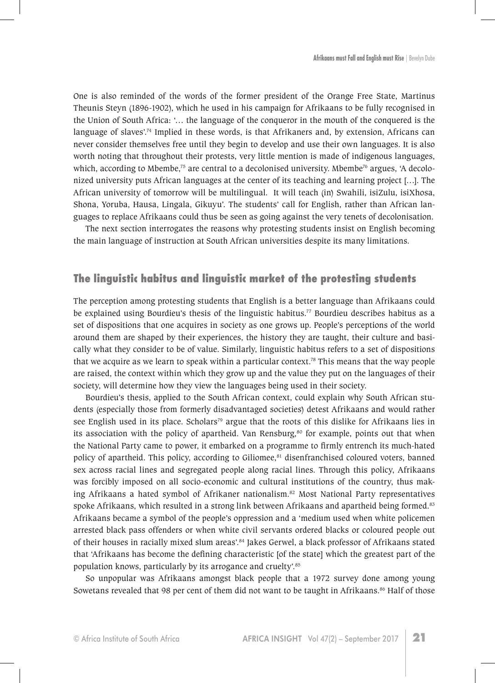One is also reminded of the words of the former president of the Orange Free State, Martinus Theunis Steyn (1896-1902), which he used in his campaign for Afrikaans to be fully recognised in the Union of South Africa: '… the language of the conqueror in the mouth of the conquered is the language of slaves'.<sup>74</sup> Implied in these words, is that Afrikaners and, by extension, Africans can never consider themselves free until they begin to develop and use their own languages. It is also worth noting that throughout their protests, very little mention is made of indigenous languages, which, according to Mbembe,<sup>75</sup> are central to a decolonised university. Mbembe<sup>76</sup> argues, 'A decolonized university puts African languages at the center of its teaching and learning project […]. The African university of tomorrow will be multilingual.It will teach (in) Swahili, isiZulu, isiXhosa, Shona, Yoruba, Hausa, Lingala, Gikuyu'. The students' call for English, rather than African languages to replace Afrikaans could thus be seen as going against the very tenets of decolonisation.

The next section interrogates the reasons why protesting students insist on English becoming the main language of instruction at South African universities despite its many limitations.

#### **The linguistic habitus and linguistic market of the protesting students**

The perception among protesting students that English is a better language than Afrikaans could be explained using Bourdieu's thesis of the linguistic habitus.<sup>77</sup> Bourdieu describes habitus as a set of dispositions that one acquires in society as one grows up. People's perceptions of the world around them are shaped by their experiences, the history they are taught, their culture and basically what they consider to be of value. Similarly, linguistic habitus refers to a set of dispositions that we acquire as we learn to speak within a particular context.<sup>78</sup> This means that the way people are raised, the context within which they grow up and the value they put on the languages of their society, will determine how they view the languages being used in their society.

Bourdieu's thesis, applied to the South African context, could explain why South African students (especially those from formerly disadvantaged societies) detest Afrikaans and would rather see English used in its place. Scholars<sup>79</sup> argue that the roots of this dislike for Afrikaans lies in its association with the policy of apartheid. Van Rensburg,<sup>80</sup> for example, points out that when the National Party came to power, it embarked on a programme to firmly entrench its much-hated policy of apartheid. This policy, according to Giliomee,<sup>81</sup> disenfranchised coloured voters, banned sex across racial lines and segregated people along racial lines. Through this policy, Afrikaans was forcibly imposed on all socio-economic and cultural institutions of the country, thus making Afrikaans a hated symbol of Afrikaner nationalism.<sup>82</sup> Most National Party representatives spoke Afrikaans, which resulted in a strong link between Afrikaans and apartheid being formed.<sup>83</sup> Afrikaans became a symbol of the people's oppression and a 'medium used when white policemen arrested black pass offenders or when white civil servants ordered blacks or coloured people out of their houses in racially mixed slum areas'.<sup>84</sup> Jakes Gerwel, a black professor of Afrikaans stated that 'Afrikaans has become the defining characteristic [of the state] which the greatest part of the population knows, particularly by its arrogance and cruelty'.<sup>85</sup>

So unpopular was Afrikaans amongst black people that a 1972 survey done among young Sowetans revealed that 98 per cent of them did not want to be taught in Afrikaans.<sup>86</sup> Half of those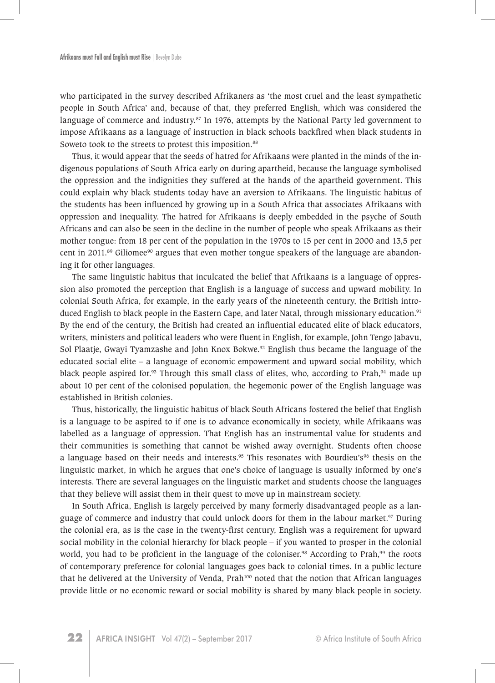who participated in the survey described Afrikaners as 'the most cruel and the least sympathetic people in South Africa' and, because of that, they preferred English, which was considered the language of commerce and industry. $87$  In 1976, attempts by the National Party led government to impose Afrikaans as a language of instruction in black schools backfired when black students in Soweto took to the streets to protest this imposition.<sup>88</sup>

Thus, it would appear that the seeds of hatred for Afrikaans were planted in the minds of the indigenous populations of South Africa early on during apartheid, because the language symbolised the oppression and the indignities they suffered at the hands of the apartheid government. This could explain why black students today have an aversion to Afrikaans. The linguistic habitus of the students has been influenced by growing up in a South Africa that associates Afrikaans with oppression and inequality. The hatred for Afrikaans is deeply embedded in the psyche of South Africans and can also be seen in the decline in the number of people who speak Afrikaans as their mother tongue: from 18 per cent of the population in the 1970s to 15 per cent in 2000 and 13,5 per cent in 2011.<sup>89</sup> Giliomee<sup>90</sup> argues that even mother tongue speakers of the language are abandoning it for other languages.

The same linguistic habitus that inculcated the belief that Afrikaans is a language of oppression also promoted the perception that English is a language of success and upward mobility. In colonial South Africa, for example, in the early years of the nineteenth century, the British introduced English to black people in the Eastern Cape, and later Natal, through missionary education.<sup>91</sup> By the end of the century, the British had created an influential educated elite of black educators, writers, ministers and political leaders who were fluent in English, for example, John Tengo Jabavu, Sol Plaatje, Gwayi Tyamzashe and John Knox Bokwe.<sup>92</sup> English thus became the language of the educated social elite – a language of economic empowerment and upward social mobility, which black people aspired for.<sup>93</sup> Through this small class of elites, who, according to Prah,<sup>94</sup> made up about 10 per cent of the colonised population, the hegemonic power of the English language was established in British colonies.

Thus, historically, the linguistic habitus of black South Africans fostered the belief that English is a language to be aspired to if one is to advance economically in society, while Afrikaans was labelled as a language of oppression. That English has an instrumental value for students and their communities is something that cannot be wished away overnight. Students often choose a language based on their needs and interests.<sup>95</sup> This resonates with Bourdieu's<sup>96</sup> thesis on the linguistic market, in which he argues that one's choice of language is usually informed by one's interests. There are several languages on the linguistic market and students choose the languages that they believe will assist them in their quest to move up in mainstream society.

In South Africa, English is largely perceived by many formerly disadvantaged people as a language of commerce and industry that could unlock doors for them in the labour market.<sup>97</sup> During the colonial era, as is the case in the twenty-first century, English was a requirement for upward social mobility in the colonial hierarchy for black people – if you wanted to prosper in the colonial world, you had to be proficient in the language of the coloniser.<sup>98</sup> According to Prah,<sup>99</sup> the roots of contemporary preference for colonial languages goes back to colonial times. In a public lecture that he delivered at the University of Venda, Prah<sup>100</sup> noted that the notion that African languages provide little or no economic reward or social mobility is shared by many black people in society.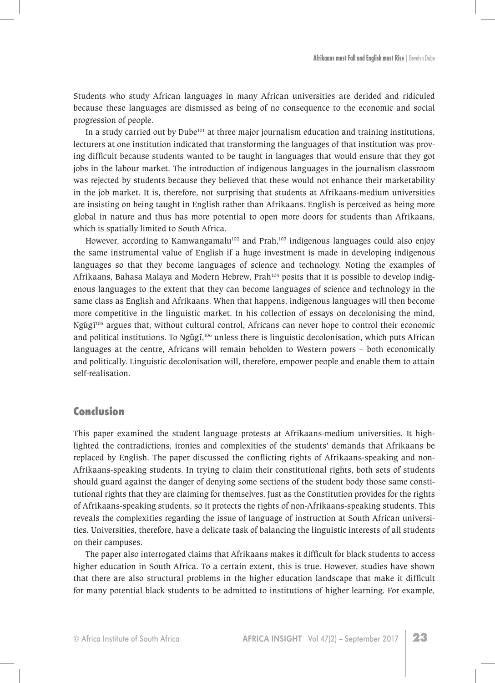Students who study African languages in many African universities are derided and ridiculed because these languages are dismissed as being of no consequence to the economic and social progression of people.

In a study carried out by Dube<sup>101</sup> at three major journalism education and training institutions, lecturers at one institution indicated that transforming the languages of that institution was proving difficult because students wanted to be taught in languages that would ensure that they got jobs in the labour market. The introduction of indigenous languages in the journalism classroom was rejected by students because they believed that these would not enhance their marketability in the job market. It is, therefore, not surprising that students at Afrikaans-medium universities are insisting on being taught in English rather than Afrikaans. English is perceived as being more global in nature and thus has more potential to open more doors for students than Afrikaans, which is spatially limited to South Africa.

However, according to Kamwangamalu<sup>102</sup> and Prah,<sup>103</sup> indigenous languages could also enjoy the same instrumental value of English if a huge investment is made in developing indigenous languages so that they become languages of science and technology. Noting the examples of Afrikaans, Bahasa Malaya and Modern Hebrew, Prah104 posits that it is possible to develop indigenous languages to the extent that they can become languages of science and technology in the same class as English and Afrikaans. When that happens, indigenous languages will then become more competitive in the linguistic market. In his collection of essays on decolonising the mind, Ngũg $I<sup>105</sup>$  argues that, without cultural control, Africans can never hope to control their economic and political institutions. To Ngũgĩ, $106$  unless there is linguistic decolonisation, which puts African languages at the centre, Africans will remain beholden to Western powers – both economically and politically. Linguistic decolonisation will, therefore, empower people and enable them to attain self-realisation.

# **Conclusion**

This paper examined the student language protests at Afrikaans-medium universities. It highlighted the contradictions, ironies and complexities of the students' demands that Afrikaans be replaced by English. The paper discussed the conflicting rights of Afrikaans-speaking and non-Afrikaans-speaking students. In trying to claim their constitutional rights, both sets of students should guard against the danger of denying some sections of the student body those same constitutional rights that they are claiming for themselves. Just as the Constitution provides for the rights of Afrikaans-speaking students, so it protects the rights of non-Afrikaans-speaking students. This reveals the complexities regarding the issue of language of instruction at South African universities. Universities, therefore, have a delicate task of balancing the linguistic interests of all students on their campuses.

The paper also interrogated claims that Afrikaans makes it difficult for black students to access higher education in South Africa. To a certain extent, this is true. However, studies have shown that there are also structural problems in the higher education landscape that make it difficult for many potential black students to be admitted to institutions of higher learning. For example,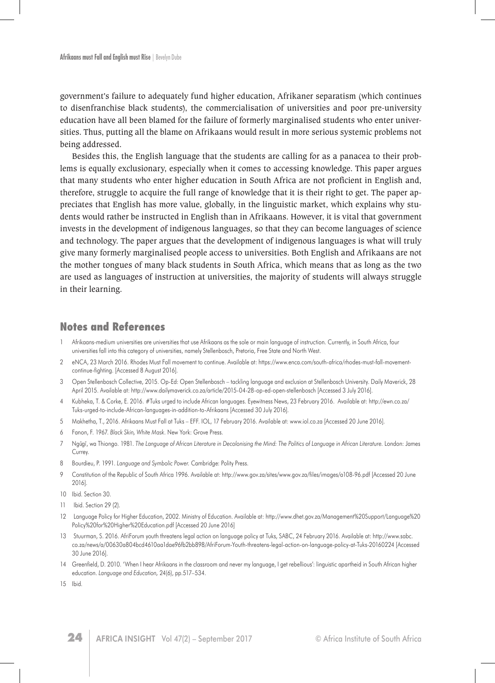government's failure to adequately fund higher education, Afrikaner separatism (which continues to disenfranchise black students), the commercialisation of universities and poor pre-university education have all been blamed for the failure of formerly marginalised students who enter universities. Thus, putting all the blame on Afrikaans would result in more serious systemic problems not being addressed.

Besides this, the English language that the students are calling for as a panacea to their problems is equally exclusionary, especially when it comes to accessing knowledge. This paper argues that many students who enter higher education in South Africa are not proficient in English and, therefore, struggle to acquire the full range of knowledge that it is their right to get. The paper appreciates that English has more value, globally, in the linguistic market, which explains why students would rather be instructed in English than in Afrikaans. However, it is vital that government invests in the development of indigenous languages, so that they can become languages of science and technology. The paper argues that the development of indigenous languages is what will truly give many formerly marginalised people access to universities. Both English and Afrikaans are not the mother tongues of many black students in South Africa, which means that as long as the two are used as languages of instruction at universities, the majority of students will always struggle in their learning.

#### **Notes and References**

- 1 Afrikaans-medium universities are universities that use Afrikaans as the sole or main language of instruction. Currently, in South Africa, four universities fall into this category of universities, namely Stellenbosch, Pretoria, Free State and North West.
- 2 eNCA, 23 March 2016. Rhodes Must Fall movement to continue. Available at: https://www.enca.com/south-africa/rhodes-must-fall-movementcontinue-fighting. [Accessed 8 August 2016].
- 3 Open Stellenbosch Collective, 2015. Op-Ed: Open Stellenbosch tackling language and exclusion at Stellenbosch University. Daily Maverick, 28 April 2015. Available at: http://www.dailymaverick.co.za/article/2015-04-28-op-ed-open-stellenbosch [Accessed 3 July 2016].
- 4 Kubheka, T. & Corke, E. 2016. #Tuks urged to include African languages. Eyewitness News, 23 February 2016. Available at: http://ewn.co.za/ Tuks-urged-to-include-African-languages-in-addition-to-Afrikaans [Accessed 30 July 2016].
- 5 Makhetha, T., 2016. Afrikaans Must Fall at Tuks EFF. IOL, 17 February 2016. Available at: www.iol.co.za [Accessed 20 June 2016].
- 6 Fanon, F. 1967. *Black Skin, White Mask*. New York: Grove Press.
- 7 Ngu˜gı˜, wa Thiongo. 1981. *The Language of African Literature in Decolonising the Mind: The Politics of Language in African Literature.* London: James Currey.
- 8 Bourdieu, P. 1991. *Language and Symbolic Power.* Cambridge: Polity Press.
- 9 Constitution of the Republic of South Africa 1996. Available at: http://www.gov.za/sites/www.gov.za/files/images/a108-96.pdf [Accessed 20 June 2016].
- 10 Ibid. Section 30.
- 11 Ibid. Section 29 (2).
- 12 Language Policy for Higher Education, 2002. Ministry of Education. Available at: http://www.dhet.gov.za/Management%20Support/Language%20 Policy%20for%20Higher%20Education.pdf [Accessed 20 June 2016]
- 13 Stuurman, S. 2016. AfriForum youth threatens legal action on language policy at Tuks, SABC, 24 February 2016. Available at: http://www.sabc. co.za/news/a/00630a804bcd4610aa1dae96fb2bb898/AfriForum-Youth-threatens-legal-action-on-language-policy-at-Tuks-20160224 [Accessed 30 June 2016].
- 14 Greenfield, D. 2010. 'When I hear Afrikaans in the classroom and never my language, I get rebellious': linguistic apartheid in South African higher education. *Language and Education,* 24(6), pp.517–534.
- 15 Ibid.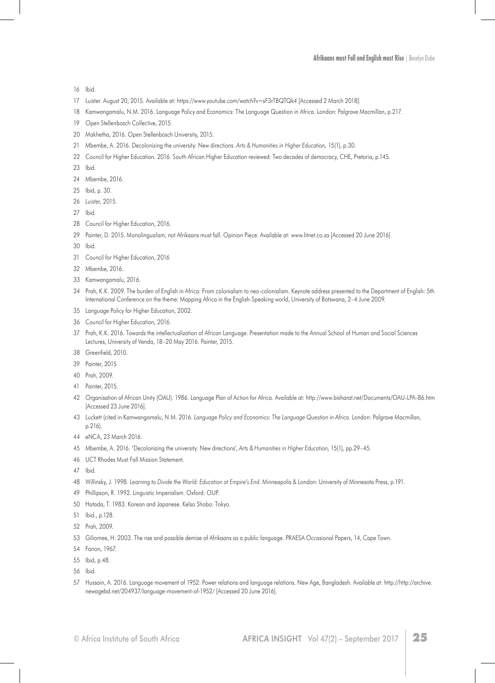#### **Afrikaans must Fall and English must Rise** | Bevelyn Dube

Ibid.

- Luister. August 20, 2015. Available at: https://www.youtube.com/watch?v=sF3rTBQTQk*4* [Accessed 2 March 2018].
- Kamwangamalu, N.M. 2016. Language Policy and Economics: The Language Question in Africa. London: Palgrave Macmillan, p.217.
- 19 Open Stellenbosch Collective, 2015.
- Makhetha, 2016. Open Stellenbosch University, 2015.
- Mbembe, A. 2016. Decolonizing the university: New directions. *Arts & Humanities in Higher Education,* 15(1), p.30.
- Council for Higher Education. 2016. South African Higher Education reviewed: Two decades of democracy, CHE, Pretoria, p.145.
- Ibid.
- Mbembe, 2016.
- Ibid, p. 30.
- *Luister,* 2015.
- Ibid.
- Council for Higher Education, 2016.
- Painter, D. 2015. Monolingualism, not Afrikaans must fall. Opinion Piece. Available at: www.litnet.co.za [Accessed 20 June 2016].
- Ibid.
- Council for Higher Education, 2016
- Mbembe, 2016.
- Kamwangamalu, 2016.
- Prah, K.K. 2009. The burden of English in Africa: From colonialism to neo-colonialism. Keynote address presented to the Department of English: 5th International Conference on the theme: Mapping Africa in the English-Speaking world, University of Botswana, 2–4 June 2009.
- Language Policy for Higher Education, 2002.
- Council for Higher Education, 2016.
- Prah, K.K. 2016. Towards the intellectualization of African Language. Presentation made to the Annual School of Human and Social Sciences Lectures, University of Venda, 18–20 May 2016. Painter, 2015.
- Greenfield, 2010.
- Painter, 2015
- Prah, 2009.
- Painter, 2015.
- Organisation of African Unity (OAU). 1986. Language Plan of Action for Africa. Available at: http://www.bisharat.net/Documents/OAU-LPA-86.htm [Accessed 23 June 2016].
- Luckett (cited in Kamwangamalu, N.M. 2016. *Language Policy and Economics: The Language Question in Africa.* London: Palgrave Macmillan, p.216).
- eNCA, 23 March 2016.
- Mbembe, A. 2016. 'Decolonizing the university: New directions', *Arts & Humanities in Higher Education*, 15(1), pp.29–45.
- UCT Rhodes Must Fall Mission Statement.
- Ibid.
- Willinsky, J. 1998. *Learning to Divide the World: Education at Empire's End*. Minneapolis & London: University of Minnesota Press, p.191.
- Phillipson, R. 1992. Linguistic Imperialism. Oxford: OUP.
- Hatada, T. 1983. Korean and Japanese. Kelso Shobo: Tokyo.
- Ibid., p.128.
- Prah, 2009.
- Giliomee, H. 2003. The rise and possible demise of Afrikaans as a public language. PRAESA Occasional Papers, 14, Cape Town.
- Fanon, 1967.
- Ibid, p.48.
- Ibid.
- Hussain, A. 2016. Language movement of 1952: Power relations and language relations. New Age, Bangladesh. Available at: http://http://archive. newagebd.net/204937/language-movement-of-1952/ [Accessed 20 June 2016].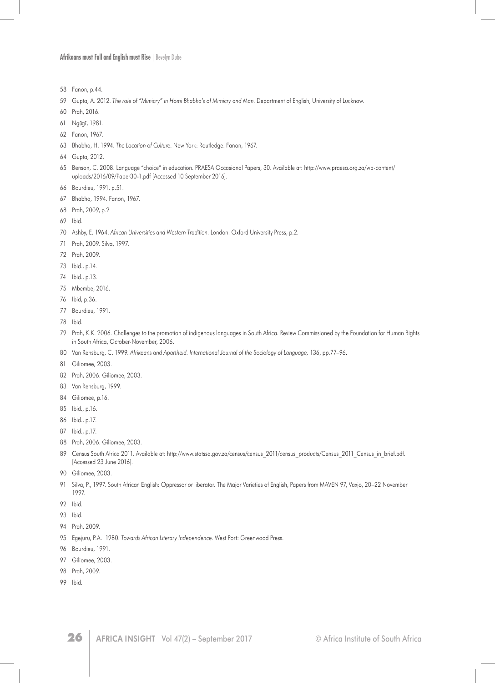**Afrikaans must Fall and English must Rise** | Bevelyn Dube

- Fanon, p.44.
- Gupta, A. 2012. *The role of "Mimicry" in Homi Bhabha's of Mimicry and Man*. Department of English, University of Lucknow.
- Prah, 2016.
- 61 Ngũgĩ, 1981.
- Fanon, 1967.
- Bhabha, H. 1994. *The Location of Culture*. New York: Routledge. Fanon, 1967.
- Gupta, 2012.
- Benson, C. 2008. Language "choice" in education. PRAESA Occasional Papers, 30. Available at: http://www.praesa.org.za/wp-content/ uploads/2016/09/Paper30-1.pdf [Accessed 10 September 2016].
- Bourdieu, 1991, p.51.
- Bhabha, 1994. Fanon, 1967.
- Prah, 2009, p.2
- Ibid.
- Ashby, E. 1964. *African Universities and Western Tradition*. London: Oxford University Press, p.2.
- Prah, 2009. Silva, 1997.
- Prah, 2009.
- Ibid., p.14.
- Ibid., p.13.
- Mbembe, 2016.
- Ibid, p.36.
- Bourdieu, 1991.
- Ibid.
- Prah, K.K. 2006. Challenges to the promotion of indigenous languages in South Africa. Review Commissioned by the Foundation for Human Rights in South Africa, October-November, 2006.
- Van Rensburg, C. 1999. *Afrikaans and Apartheid. International Journal of the Sociology of Language,* 136, pp.77–96.
- Giliomee, 2003.
- Prah, 2006. Giliomee, 2003.
- Van Rensburg, 1999.
- Giliomee, p.16.
- Ibid., p.16.
- Ibid., p.17.
- Ibid., p.17.
- Prah, 2006. Giliomee, 2003.
- 89 Census South Africa 2011. Available at: http://www.statssa.gov.za/census/census 2011/census\_products/Census\_2011\_Census\_in\_brief.pdf. [Accessed 23 June 2016].
- Giliomee, 2003.
- Silva, P., 1997. South African English: Oppressor or liberator. The Major Varieties of English, Papers from MAVEN 97, Vaxjo, 20–22 November 1997.
- Ibid.
- Ibid.
- Prah, 2009.
- Egejuru, P.A. 1980. *Towards African Literary Independence*. West Port: Greenwood Press.
- Bourdieu, 1991.
- Giliomee, 2003.
- Prah, 2009.
- Ibid.